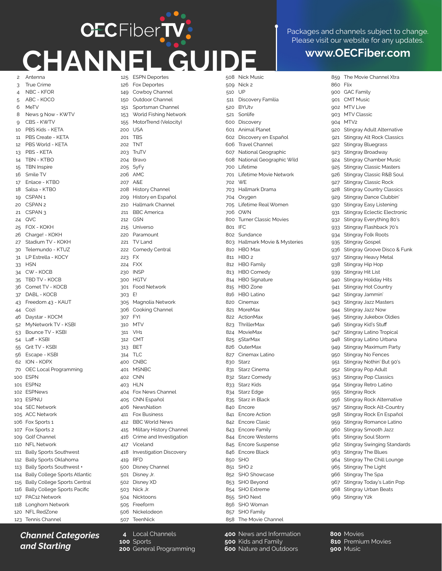## **OECFiberTV CHANNEL GUIDE www.OECFiber.com** 2 Antenna

Packages and channels subject to change. Please visit our website for any updates

859 The Movie Channel Xtra

3 4 5 6 8  $\alpha$ 10 11 12 13 14 15 16 17 18 19 20 21 CSPAN 3 24 25 26 27 30 31 33 34 35 36 37 43 44 46 52 53 54 55 56 62 70 100 ESPN 101 ESPN2 102 ESPNews 103 ESPNU 104 SEC Network 105 ACC Network 106 Fox Sports 1 107 Fox Sports 2 109 Golf Channel 110 NFL Network 111 Bally Sports Southwest 112 Bally Sports Oklahoma 113 Bally Sports Southwest + 114 Bally College Sports Atlantic 115 Bally College Sports Central 116 Bally College Sports Pacific 117 PAC12 Network 118 Longhorn Network 120 NFL RedZone True Crime NBC - KFOR ABC - KOCO MeTV News 9 Now - KWTV CBS - KWTV PBS Kids - KETA PBS Create - KETA PBS World - KETA PBS - KETA TBN - KTBO TBN Inspire Smile TV Enlace - KTBO Salsa - KTRO CSPAN<sub>1</sub> CSPAN<sub>2</sub> QVC FOX - KOKH Charge! - KOKH Stadium TV - KOKH Telemundo - KTUZ LP Estrella - KOCY **HSN** CW - KOCB TBD TV - KOCB Comet TV - KOCB DABL - KOCB Freedom 43 - KAUT Cozi Daystar - KOCM MyNetwork TV - KSBI Bounce TV - KSBI Laff - KSBI Grit TV - KSBI Escape - KSBI ION - KOPX OEC Local Programming

*Channel Categories and Starting* 

123 Tennis Channel

125 ESPN Deportes 126 149 150 151 153 155 200 201 202 203 204 205 SyFy 206 AMC 207 208 209 210 211 212 215 220 Paramount 221 TV Land 222 Comedy Central 223 FX 224 FXX 230 300 HGTV 301 Food Network 303 E! 305 306 307 310 311 312 CMT 313 314 400 401 402 CNN 403 HLN 404 405 CNN Español 406 411 412 415 416 417 418 419 500 Disney Channel 501 Disney Jr. 502 Disney XD 503 Nick Jr. 504 Nicktoons 505 Freeform 506 Nickelodeon 507 Fox Deportes Cowboy Channel Outdoor Channel Sportsman Channel World Fishing Network MotorTrend (Velocity) USA TBS TNT **TruTV** Bravo  $\triangle$  & F History Channel History en Español Hallmark Channel BBC America **GSN** Universo INSP Magnolia Network Cooking Channel FYI **MTV** VH1 **BET** TLC **CNBC MSNBC** Fox News Channel **NewsNation** Fox Business BBC World News Military History Channel Crime and Investigation Viceland Investigation Discovery RFD TeenNick

**4** Local Channels

**200** General Programming

**100** Sports

508 Nick Music 509 Nick 2 510 511 Discovery Familia 520 BYUtv E<sub>21</sub> 600 Discovery 601 Animal Planet 602 Discovery en Español 606 607 608 700 701 702 703 704 705 706 800 801 IFC 802 Sundance 803 810 811 812 813 814 HBO Signature 815 HBO Zone 816 HBO Latino 820 Cinemax 821 MoreMax 822 ActionMax 823 824 MovieMax 825 826 827 830 831 832 833 834 835 Starz in Black 840 Encore 841 Encore Action 842 Encore Clasic 843 Encore Family 844 Encore Westerns 845 Encore Suspense 846 Encore Black 850 SHO 851 SHO 2 852 SHO Showcase 853 SHO Beyond 854 SHO Extreme 855 SHO Next 856 SHO Woman 857 SHO Family 858 The Movie Channel UP Sonlife Travel Channel National Geographic National Geographic Wild Lifetime Lifetime Movie Network WE Hallmark Drama Oxygen Lifetime Real Women OWN Turner Classic Movies Hallmark Movie & Mysteries HBO Max  $HBO<sub>2</sub>$ HBO Family HBO Comedy **ThrillerMax** 5StarMax **OuterMax** Cinemax Latino Starz Starz Cinema Starz Comedy Starz Kids Starz Edge

860 Flix 900 GAC Family 901 CMT Music 902 MTV Live 903  $0<sub>04</sub>$  $920$ Q<sub>21</sub> 922 923 924 925 926 927 928 929 930 931 932 933  $934$ 935 936 937 938 939 940 941 942 943 944 945 946 947  $Q<sub>48</sub>$ 949 950 951 952 953 954 **955** 956 957 958 959 960 961 962 **963** 964 965 966 Stingray The Spa a67 968 Stingray Urban Beats 969 Stingray Y2k MTV Classic MT<sub>V2</sub> Stingray Adult Alternative Stingray Alt Rock Classics Stingray Bluegrass Stingray Broadway Stingray Chamber Music Stingray Classic Masters Stingray Classic R&B Soul Stingray Classic Rock Stingray Country Classics Stingray Dance Clubbin' Stingray Easy Listening Stingray Eclectic Electronic Stingray Everything 80's Stingray Flashback 70's Stingray Folk Roots Stingray Gospel Stingray Groove Disco & Funk Stingray Heavy Metal Stingray Hip Hop Stingray Hit List Stingray Holiday Hits Stingray Hot Country Stingray Jammin' Stingray Jazz Masters Stingray Jazz Now Stingray Jukebox Oldies Stingray Kid's Stuff Stingray Latino Tropical Stingray Latino Urbana Stingray Maximum Party Stingray No Fences Stingray Nothin' But 90's Stingray Pop Adult Stingray Pop Classics Stingray Retro Latino Stingray Rock Stingray Rock Alternative Stingray Rock Alt-Country Stingray Rock En Español Stingray Romance Latino Stingray Smooth Jazz Stingray Soul Storm Stingray Swinging Standards Stingray The Blues Stingray The Chill Lounge Stingray The Light Stingray Today's Latin Pop

**400** News and Information **500** Kids and Family **600** Nature and Outdoors

**800** Movies **810** Premium Movies **900** Music